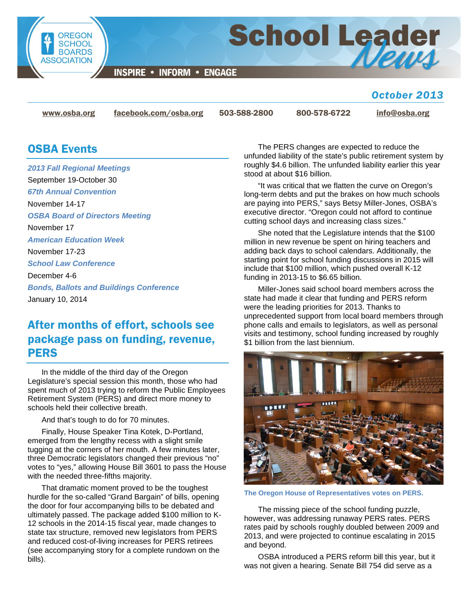

**INSPIRE • INFORM • ENGAGE** 

## *October 2013*

[www.osba.org](http://www.osba.org/) [facebook.com/osba.org](http://www.facebook.com/osba.org) 503-588-2800 800-578-6722 [info@osba.org](mailto:info@osba.org)

**School Leader** 

## OSBA Events

*2013 Fall Regional Meetings* September 19-October 30 *67th Annual Convention* November 14-17 *OSBA Board of Directors Meeting* November 17 *American Education Week* November 17-23 *School Law Conference* December 4-6 *Bonds, Ballots and Buildings Conference* January 10, 2014

# After months of effort, schools see package pass on funding, revenue, PERS

In the middle of the third day of the Oregon Legislature's special session this month, those who had spent much of 2013 trying to reform the Public Employees Retirement System (PERS) and direct more money to schools held their collective breath.

And that's tough to do for 70 minutes.

Finally, House Speaker Tina Kotek, D-Portland, emerged from the lengthy recess with a slight smile tugging at the corners of her mouth. A few minutes later, three Democratic legislators changed their previous "no" votes to "yes," allowing House Bill 3601 to pass the House with the needed three-fifths majority.

That dramatic moment proved to be the toughest hurdle for the so-called "Grand Bargain" of bills, opening the door for four accompanying bills to be debated and ultimately passed. The package added \$100 million to K-12 schools in the 2014-15 fiscal year, made changes to state tax structure, removed new legislators from PERS and reduced cost-of-living increases for PERS retirees (see accompanying story for a complete rundown on the bills).

The PERS changes are expected to reduce the unfunded liability of the state's public retirement system by roughly \$4.6 billion. The unfunded liability earlier this year stood at about \$16 billion.

"It was critical that we flatten the curve on Oregon's long-term debts and put the brakes on how much schools are paying into PERS," says Betsy Miller-Jones, OSBA's executive director. "Oregon could not afford to continue cutting school days and increasing class sizes."

She noted that the Legislature intends that the \$100 million in new revenue be spent on hiring teachers and adding back days to school calendars. Additionally, the starting point for school funding discussions in 2015 will include that \$100 million, which pushed overall K-12 funding in 2013-15 to \$6.65 billion.

Miller-Jones said school board members across the state had made it clear that funding and PERS reform were the leading priorities for 2013. Thanks to unprecedented support from local board members through phone calls and emails to legislators, as well as personal visits and testimony, school funding increased by roughly \$1 billion from the last biennium.



**The Oregon House of Representatives votes on PERS.** 

The missing piece of the school funding puzzle, however, was addressing runaway PERS rates. PERS rates paid by schools roughly doubled between 2009 and 2013, and were projected to continue escalating in 2015 and beyond.

OSBA introduced a PERS reform bill this year, but it was not given a hearing. Senate Bill 754 did serve as a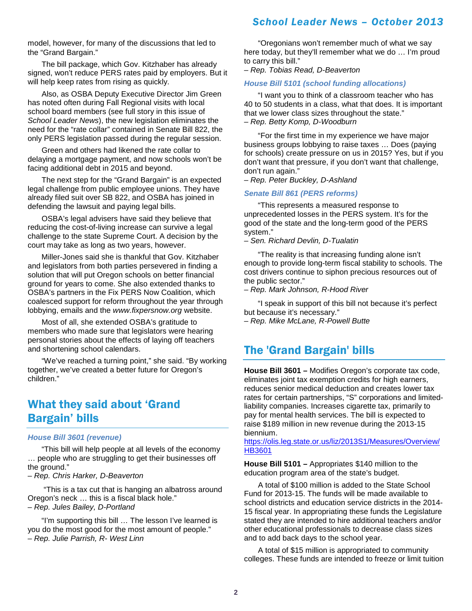model, however, for many of the discussions that led to the "Grand Bargain."

The bill package, which Gov. Kitzhaber has already signed, won't reduce PERS rates paid by employers. But it will help keep rates from rising as quickly.

Also, as OSBA Deputy Executive Director Jim Green has noted often during Fall Regional visits with local school board members (see full story in this issue of *School Leader News*), the new legislation eliminates the need for the "rate collar" contained in Senate Bill 822, the only PERS legislation passed during the regular session.

Green and others had likened the rate collar to delaying a mortgage payment, and now schools won't be facing additional debt in 2015 and beyond.

The next step for the "Grand Bargain" is an expected legal challenge from public employee unions. They have already filed suit over SB 822, and OSBA has joined in defending the lawsuit and paying legal bills.

OSBA's legal advisers have said they believe that reducing the cost-of-living increase can survive a legal challenge to the state Supreme Court. A decision by the court may take as long as two years, however.

Miller-Jones said she is thankful that Gov. Kitzhaber and legislators from both parties persevered in finding a solution that will put Oregon schools on better financial ground for years to come. She also extended thanks to OSBA's partners in the Fix PERS Now Coalition, which coalesced support for reform throughout the year through lobbying, emails and the *www.fixpersnow.org* website.

Most of all, she extended OSBA's gratitude to members who made sure that legislators were hearing personal stories about the effects of laying off teachers and shortening school calendars.

"We've reached a turning point," she said. "By working together, we've created a better future for Oregon's children."

## What they said about 'Grand Bargain' bills

#### *House Bill 3601 (revenue)*

"This bill will help people at all levels of the economy … people who are struggling to get their businesses off the ground."

– *Rep. Chris Harker, D-Beaverton*

"This is a tax cut that is hanging an albatross around Oregon's neck … this is a fiscal black hole." *– Rep. Jules Bailey, D-Portland*

"I'm supporting this bill … The lesson I've learned is you do the most good for the most amount of people." *– Rep. Julie Parrish, R- West Linn*

"Oregonians won't remember much of what we say here today, but they'll remember what we do … I'm proud to carry this bill."

*– Rep. Tobias Read, D-Beaverton*

#### *House Bill 5101 (school funding allocations)*

"I want you to think of a classroom teacher who has 40 to 50 students in a class, what that does. It is important that we lower class sizes throughout the state." *– Rep. Betty Komp, D-Woodburn*

"For the first time in my experience we have major business groups lobbying to raise taxes … Does (paying for schools) create pressure on us in 2015? Yes, but if you don't want that pressure, if you don't want that challenge, don't run again."

*– Rep. Peter Buckley, D-Ashland*

#### *Senate Bill 861 (PERS reforms)*

"This represents a measured response to unprecedented losses in the PERS system. It's for the good of the state and the long-term good of the PERS system."

*– Sen. Richard Devlin, D-Tualatin*

"The reality is that increasing funding alone isn't enough to provide long-term fiscal stability to schools. The cost drivers continue to siphon precious resources out of the public sector."

*– Rep. Mark Johnson, R-Hood River*

"I speak in support of this bill not because it's perfect but because it's necessary."

*– Rep. Mike McLane, R-Powell Butte*

## The 'Grand Bargain' bills

**House Bill 3601 –** Modifies Oregon's corporate tax code, eliminates joint tax exemption credits for high earners, reduces senior medical deduction and creates lower tax rates for certain partnerships, "S" corporations and limitedliability companies. Increases cigarette tax, primarily to pay for mental health services. The bill is expected to raise \$189 million in new revenue during the 2013-15 biennium.

[https://olis.leg.state.or.us/liz/2013S1/Measures/Overview/](https://olis.leg.state.or.us/liz/2013S1/Measures/Overview/HB3601) [HB3601](https://olis.leg.state.or.us/liz/2013S1/Measures/Overview/HB3601)

**House Bill 5101 –** Appropriates \$140 million to the education program area of the state's budget.

A total of \$100 million is added to the State School Fund for 2013-15. The funds will be made available to school districts and education service districts in the 2014- 15 fiscal year. In appropriating these funds the Legislature stated they are intended to hire additional teachers and/or other educational professionals to decrease class sizes and to add back days to the school year.

A total of \$15 million is appropriated to community colleges. These funds are intended to freeze or limit tuition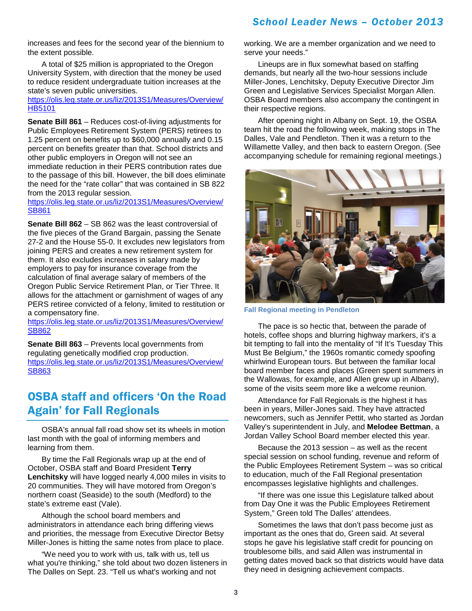increases and fees for the second year of the biennium to the extent possible.

A total of \$25 million is appropriated to the Oregon University System, with direction that the money be used to reduce resident undergraduate tuition increases at the state's seven public universities.

#### [https://olis.leg.state.or.us/liz/2013S1/Measures/Overview/](https://olis.leg.state.or.us/liz/2013S1/Measures/Overview/HB5101) [HB5101](https://olis.leg.state.or.us/liz/2013S1/Measures/Overview/HB5101)

**Senate Bill 861** – Reduces cost-of-living adjustments for Public Employees Retirement System (PERS) retirees to 1.25 percent on benefits up to \$60,000 annually and 0.15 percent on benefits greater than that. School districts and other public employers in Oregon will not see an

immediate reduction in their PERS contribution rates due to the passage of this bill. However, the bill does eliminate the need for the "rate collar" that was contained in SB 822 from the 2013 regular session.

[https://olis.leg.state.or.us/liz/2013S1/Measures/Overview/](https://olis.leg.state.or.us/liz/2013S1/Measures/Overview/SB861) [SB861](https://olis.leg.state.or.us/liz/2013S1/Measures/Overview/SB861)

**Senate Bill 862** – SB 862 was the least controversial of the five pieces of the Grand Bargain, passing the Senate 27-2 and the House 55-0. It excludes new legislators from joining PERS and creates a new retirement system for them. It also excludes increases in salary made by employers to pay for insurance coverage from the calculation of final average salary of members of the Oregon Public Service Retirement Plan, or Tier Three. It allows for the attachment or garnishment of wages of any PERS retiree convicted of a felony, limited to restitution or a compensatory fine.

[https://olis.leg.state.or.us/liz/2013S1/Measures/Overview/](https://olis.leg.state.or.us/liz/2013S1/Measures/Overview/SB862) [SB862](https://olis.leg.state.or.us/liz/2013S1/Measures/Overview/SB862)

**Senate Bill 863** – Prevents local governments from regulating genetically modified crop production. [https://olis.leg.state.or.us/liz/2013S1/Measures/Overview/](https://olis.leg.state.or.us/liz/2013S1/Measures/Overview/SB863) [SB863](https://olis.leg.state.or.us/liz/2013S1/Measures/Overview/SB863)

# OSBA staff and officers 'On the Road Again' for Fall Regionals

OSBA's annual fall road show set its wheels in motion last month with the goal of informing members and learning from them.

By time the Fall Regionals wrap up at the end of October, OSBA staff and Board President **Terry Lenchitsky** will have logged nearly 4,000 miles in visits to 20 communities. They will have motored from Oregon's northern coast (Seaside) to the south (Medford) to the state's extreme east (Vale).

Although the school board members and administrators in attendance each bring differing views and priorities, the message from Executive Director Betsy Miller-Jones is hitting the same notes from place to place.

"We need you to work with us, talk with us, tell us what you're thinking," she told about two dozen listeners in The Dalles on Sept. 23. "Tell us what's working and not

working. We are a member organization and we need to serve your needs."

Lineups are in flux somewhat based on staffing demands, but nearly all the two-hour sessions include Miller-Jones, Lenchitsky, Deputy Executive Director Jim Green and Legislative Services Specialist Morgan Allen. OSBA Board members also accompany the contingent in their respective regions.

After opening night in Albany on Sept. 19, the OSBA team hit the road the following week, making stops in The Dalles, Vale and Pendleton. Then it was a return to the Willamette Valley, and then back to eastern Oregon. (See accompanying schedule for remaining regional meetings.)



**Fall Regional meeting in Pendleton**

The pace is so hectic that, between the parade of hotels, coffee shops and blurring highway markers, it's a bit tempting to fall into the mentality of "If It's Tuesday This Must Be Belgium," the 1960s romantic comedy spoofing whirlwind European tours. But between the familiar local board member faces and places (Green spent summers in the Wallowas, for example, and Allen grew up in Albany), some of the visits seem more like a welcome reunion.

Attendance for Fall Regionals is the highest it has been in years, Miller-Jones said. They have attracted newcomers, such as Jennifer Pettit, who started as Jordan Valley's superintendent in July, and **Melodee Bettman**, a Jordan Valley School Board member elected this year.

Because the 2013 session – as well as the recent special session on school funding, revenue and reform of the Public Employees Retirement System – was so critical to education, much of the Fall Regional presentation encompasses legislative highlights and challenges.

"If there was one issue this Legislature talked about from Day One it was the Public Employees Retirement System," Green told The Dalles' attendees.

Sometimes the laws that don't pass become just as important as the ones that do, Green said. At several stops he gave his legislative staff credit for pouncing on troublesome bills, and said Allen was instrumental in getting dates moved back so that districts would have data they need in designing achievement compacts.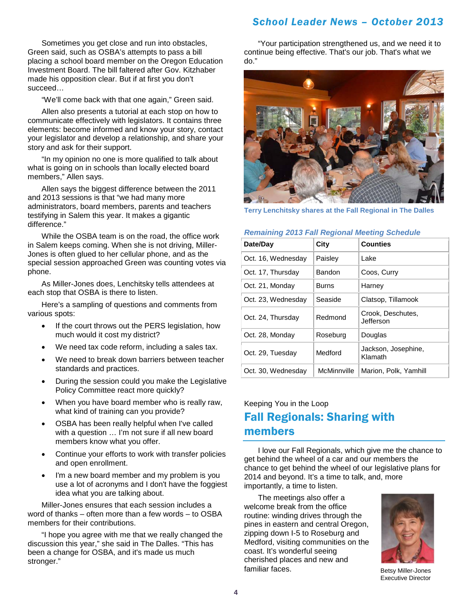Sometimes you get close and run into obstacles, Green said, such as OSBA's attempts to pass a bill placing a school board member on the Oregon Education Investment Board. The bill faltered after Gov. Kitzhaber made his opposition clear. But if at first you don't succeed…

"We'll come back with that one again," Green said.

Allen also presents a tutorial at each stop on how to communicate effectively with legislators. It contains three elements: become informed and know your story, contact your legislator and develop a relationship, and share your story and ask for their support.

"In my opinion no one is more qualified to talk about what is going on in schools than locally elected board members," Allen says.

Allen says the biggest difference between the 2011 and 2013 sessions is that "we had many more administrators, board members, parents and teachers testifying in Salem this year. It makes a gigantic difference."

While the OSBA team is on the road, the office work in Salem keeps coming. When she is not driving, Miller-Jones is often glued to her cellular phone, and as the special session approached Green was counting votes via phone.

As Miller-Jones does, Lenchitsky tells attendees at each stop that OSBA is there to listen.

Here's a sampling of questions and comments from various spots:

- If the court throws out the PERS legislation, how much would it cost my district?
- We need tax code reform, including a sales tax.
- We need to break down barriers between teacher standards and practices.
- During the session could you make the Legislative Policy Committee react more quickly?
- When you have board member who is really raw, what kind of training can you provide?
- OSBA has been really helpful when I've called with a question … I'm not sure if all new board members know what you offer.
- Continue your efforts to work with transfer policies and open enrollment.
- I'm a new board member and my problem is you use a lot of acronyms and I don't have the foggiest idea what you are talking about.

Miller-Jones ensures that each session includes a word of thanks – often more than a few words – to OSBA members for their contributions.

"I hope you agree with me that we really changed the discussion this year," she said in The Dalles. "This has been a change for OSBA, and it's made us much stronger."

"Your participation strengthened us, and we need it to continue being effective. That's our job. That's what we do."



**Terry Lenchitsky shares at the Fall Regional in The Dalles**

#### *Remaining 2013 Fall Regional Meeting Schedule*

| Date/Day           | City         | <b>Counties</b>                |
|--------------------|--------------|--------------------------------|
| Oct. 16, Wednesday | Paisley      | Lake                           |
| Oct. 17, Thursday  | Bandon       | Coos, Curry                    |
| Oct. 21, Monday    | <b>Burns</b> | Harney                         |
| Oct. 23, Wednesday | Seaside      | Clatsop, Tillamook             |
| Oct. 24, Thursday  | Redmond      | Crook, Deschutes,<br>Jefferson |
| Oct. 28, Monday    | Roseburg     | Douglas                        |
| Oct. 29, Tuesday   | Medford      | Jackson, Josephine,<br>Klamath |
| Oct. 30, Wednesday | McMinnville  | Marion, Polk, Yamhill          |

## Keeping You in the Loop Fall Regionals: Sharing with members

I love our Fall Regionals, which give me the chance to get behind the wheel of a car and our members the chance to get behind the wheel of our legislative plans for 2014 and beyond. It's a time to talk, and, more importantly, a time to listen.

The meetings also offer a welcome break from the office routine: winding drives through the pines in eastern and central Oregon, zipping down I-5 to Roseburg and Medford, visiting communities on the coast. It's wonderful seeing cherished places and new and familiar faces. The state of the Betsy Miller-Jones



Executive Director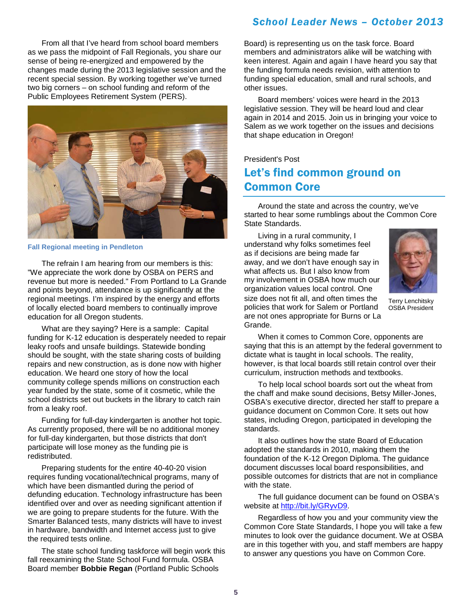From all that I've heard from school board members as we pass the midpoint of Fall Regionals, you share our sense of being re-energized and empowered by the changes made during the 2013 legislative session and the recent special session. By working together we've turned two big corners – on school funding and reform of the Public Employees Retirement System (PERS).



#### **Fall Regional meeting in Pendleton**

The refrain I am hearing from our members is this: "We appreciate the work done by OSBA on PERS and revenue but more is needed." From Portland to La Grande and points beyond, attendance is up significantly at the regional meetings. I'm inspired by the energy and efforts of locally elected board members to continually improve education for all Oregon students.

What are they saying? Here is a sample: Capital funding for K-12 education is desperately needed to repair leaky roofs and unsafe buildings. Statewide bonding should be sought, with the state sharing costs of building repairs and new construction, as is done now with higher education. We heard one story of how the local community college spends millions on construction each year funded by the state, some of it cosmetic, while the school districts set out buckets in the library to catch rain from a leaky roof.

Funding for full-day kindergarten is another hot topic. As currently proposed, there will be no additional money for full-day kindergarten, but those districts that don't participate will lose money as the funding pie is redistributed.

Preparing students for the entire 40-40-20 vision requires funding vocational/technical programs, many of which have been dismantled during the period of defunding education. Technology infrastructure has been identified over and over as needing significant attention if we are going to prepare students for the future. With the Smarter Balanced tests, many districts will have to invest in hardware, bandwidth and Internet access just to give the required tests online.

The state school funding taskforce will begin work this fall reexamining the State School Fund formula. OSBA Board member **Bobbie Regan** (Portland Public Schools

### *School Leader News – October 2013*

Board) is representing us on the task force. Board members and administrators alike will be watching with keen interest. Again and again I have heard you say that the funding formula needs revision, with attention to funding special education, small and rural schools, and other issues.

Board members' voices were heard in the 2013 legislative session. They will be heard loud and clear again in 2014 and 2015. Join us in bringing your voice to Salem as we work together on the issues and decisions that shape education in Oregon!

## President's Post Let's find common ground on Common Core

Around the state and across the country, we've started to hear some rumblings about the Common Core State Standards.

Living in a rural community, I understand why folks sometimes feel as if decisions are being made far away, and we don't have enough say in what affects us. But I also know from my involvement in OSBA how much our organization values local control. One size does not fit all, and often times the policies that work for Salem or Portland are not ones appropriate for Burns or La Grande.



Terry Lenchitsky OSBA President

When it comes to Common Core, opponents are saying that this is an attempt by the federal government to dictate what is taught in local schools. The reality, however, is that local boards still retain control over their curriculum, instruction methods and textbooks.

To help local school boards sort out the wheat from the chaff and make sound decisions, Betsy Miller-Jones, OSBA's executive director, directed her staff to prepare a guidance document on Common Core. It sets out how states, including Oregon, participated in developing the standards.

It also outlines how the state Board of Education adopted the standards in 2010, making them the foundation of the K-12 Oregon Diploma. The guidance document discusses local board responsibilities, and possible outcomes for districts that are not in compliance with the state.

The full guidance document can be found on OSBA's website at [http://bit.ly/GRyvD9.](http://bit.ly/GRyvD9)

Regardless of how you and your community view the Common Core State Standards, I hope you will take a few minutes to look over the guidance document. We at OSBA are in this together with you, and staff members are happy to answer any questions you have on Common Core.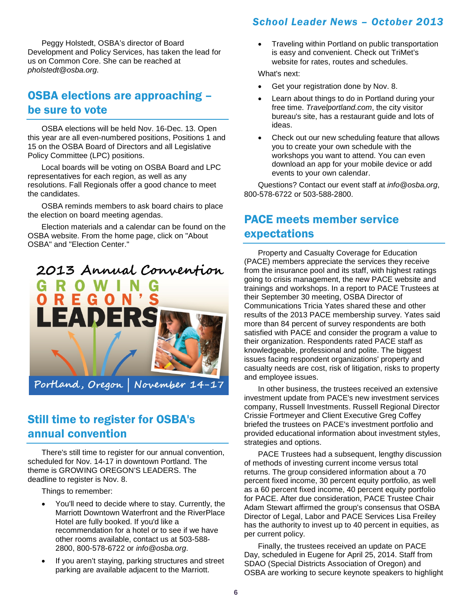Peggy Holstedt, OSBA's director of Board Development and Policy Services, has taken the lead for us on Common Core. She can be reached at *pholstedt@osba.org*.

## OSBA elections are approaching – be sure to vote

OSBA elections will be held Nov. 16-Dec. 13. Open this year are all even-numbered positions, Positions 1 and 15 on the OSBA Board of Directors and all Legislative Policy Committee (LPC) positions.

Local boards will be voting on OSBA Board and LPC representatives for each region, as well as any resolutions. Fall Regionals offer a good chance to meet the candidates.

OSBA reminds members to ask board chairs to place the election on board meeting agendas.

Election materials and a calendar can be found on the OSBA website. From the home page, click on "About OSBA" and "Election Center."



Still time to register for OSBA's annual convention

There's still time to register for our annual convention, scheduled for Nov. 14-17 in downtown Portland. The theme is GROWING OREGON'S LEADERS. The deadline to register is Nov. 8.

Things to remember:

- You'll need to decide where to stay. Currently, the Marriott Downtown Waterfront and the RiverPlace Hotel are fully booked. If you'd like a recommendation for a hotel or to see if we have other rooms available, contact us at 503-588- 2800, 800-578-6722 or *info@osba.org*.
- If you aren't staying, parking structures and street parking are available adjacent to the Marriott.

## *School Leader News – October 2013*

• Traveling within Portland on public transportation is easy and convenient. Check out TriMet's website for rates, routes and schedules.

What's next:

- Get your registration done by Nov. 8.
- Learn about things to do in Portland during your free time. *Travelportland.com*, the city visitor bureau's site, has a restaurant guide and lots of ideas.
- Check out our new scheduling feature that allows you to create your own schedule with the workshops you want to attend. You can even download an app for your mobile device or add events to your own calendar.

Questions? Contact our event staff at *info@osba.org*, 800-578-6722 or 503-588-2800.

# PACE meets member service expectations

Property and Casualty Coverage for Education (PACE) members appreciate the services they receive from the insurance pool and its staff, with highest ratings going to crisis management, the new PACE website and trainings and workshops. In a report to PACE Trustees at their September 30 meeting, OSBA Director of Communications Tricia Yates shared these and other results of the 2013 PACE membership survey. Yates said more than 84 percent of survey respondents are both satisfied with PACE and consider the program a value to their organization. Respondents rated PACE staff as knowledgeable, professional and polite. The biggest issues facing respondent organizations' property and casualty needs are cost, risk of litigation, risks to property and employee issues.

In other business, the trustees received an extensive investment update from PACE's new investment services company, Russell Investments. Russell Regional Director Crissie Fortmeyer and Client Executive Greg Coffey briefed the trustees on PACE's investment portfolio and provided educational information about investment styles, strategies and options.

PACE Trustees had a subsequent, lengthy discussion of methods of investing current income versus total returns. The group considered information about a 70 percent fixed income, 30 percent equity portfolio, as well as a 60 percent fixed income, 40 percent equity portfolio for PACE. After due consideration, PACE Trustee Chair Adam Stewart affirmed the group's consensus that OSBA Director of Legal, Labor and PACE Services Lisa Freiley has the authority to invest up to 40 percent in equities, as per current policy.

Finally, the trustees received an update on PACE Day, scheduled in Eugene for April 25, 2014. Staff from SDAO (Special Districts Association of Oregon) and OSBA are working to secure keynote speakers to highlight